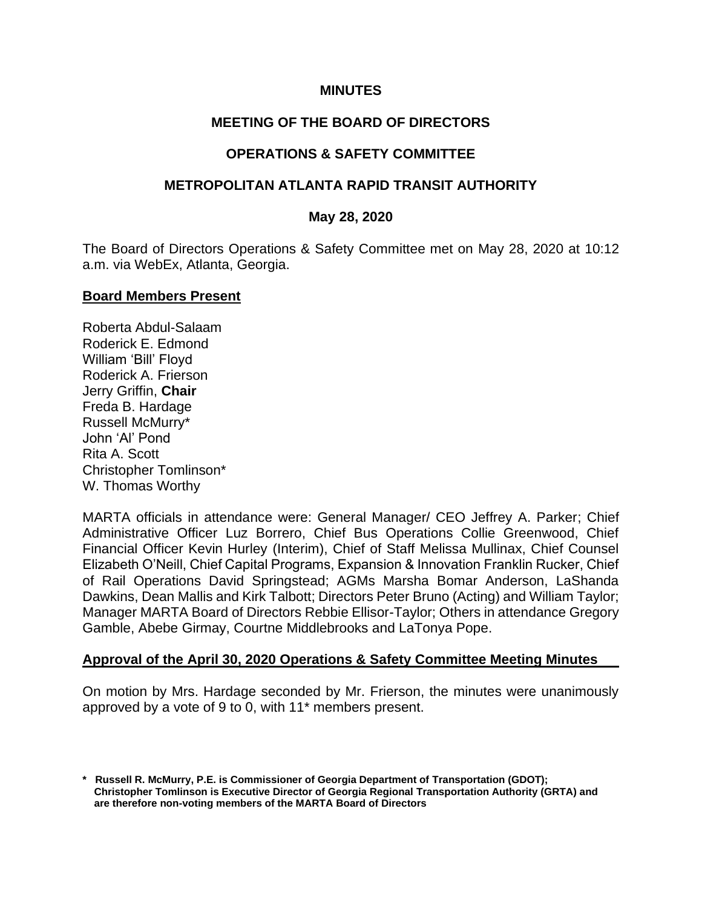### **MINUTES**

# **MEETING OF THE BOARD OF DIRECTORS**

## **OPERATIONS & SAFETY COMMITTEE**

### **METROPOLITAN ATLANTA RAPID TRANSIT AUTHORITY**

#### **May 28, 2020**

The Board of Directors Operations & Safety Committee met on May 28, 2020 at 10:12 a.m. via WebEx, Atlanta, Georgia.

#### **Board Members Present**

Roberta Abdul-Salaam Roderick E. Edmond William 'Bill' Floyd Roderick A. Frierson Jerry Griffin, **Chair** Freda B. Hardage Russell McMurry\* John 'Al' Pond Rita A. Scott Christopher Tomlinson\* W. Thomas Worthy

MARTA officials in attendance were: General Manager/ CEO Jeffrey A. Parker; Chief Administrative Officer Luz Borrero, Chief Bus Operations Collie Greenwood, Chief Financial Officer Kevin Hurley (Interim), Chief of Staff Melissa Mullinax, Chief Counsel Elizabeth O'Neill, Chief Capital Programs, Expansion & Innovation Franklin Rucker, Chief of Rail Operations David Springstead; AGMs Marsha Bomar Anderson, LaShanda Dawkins, Dean Mallis and Kirk Talbott; Directors Peter Bruno (Acting) and William Taylor; Manager MARTA Board of Directors Rebbie Ellisor-Taylor; Others in attendance Gregory Gamble, Abebe Girmay, Courtne Middlebrooks and LaTonya Pope.

## **Approval of the April 30, 2020 Operations & Safety Committee Meeting Minutes**

On motion by Mrs. Hardage seconded by Mr. Frierson, the minutes were unanimously approved by a vote of 9 to 0, with 11\* members present.

**<sup>\*</sup> Russell R. McMurry, P.E. is Commissioner of Georgia Department of Transportation (GDOT); Christopher Tomlinson is Executive Director of Georgia Regional Transportation Authority (GRTA) and are therefore non-voting members of the MARTA Board of Directors**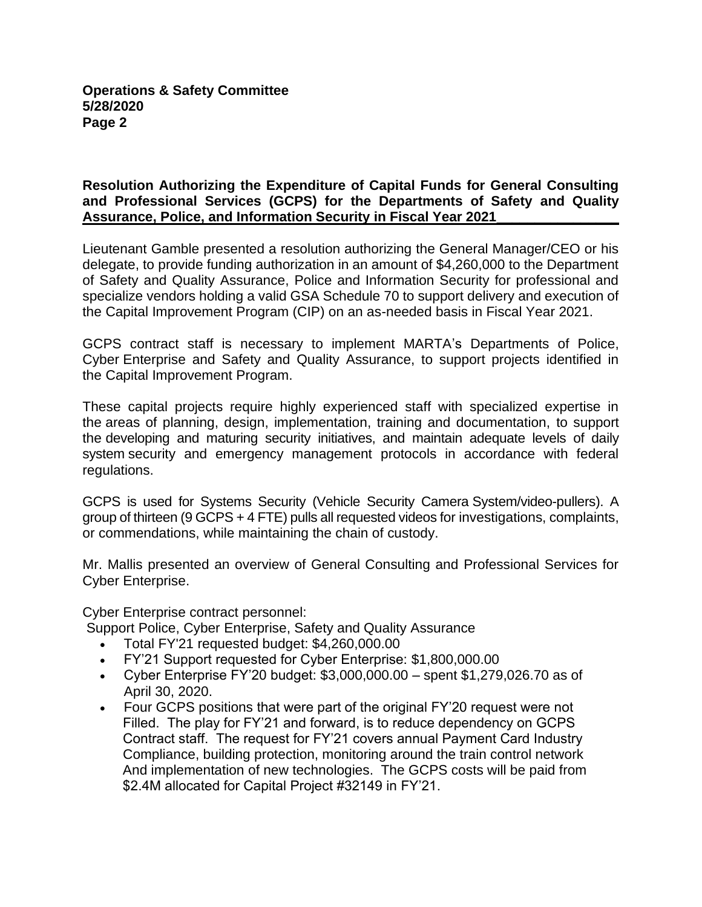## **Resolution Authorizing the Expenditure of Capital Funds for General Consulting and Professional Services (GCPS) for the Departments of Safety and Quality Assurance, Police, and Information Security in Fiscal Year 2021\_\_\_\_\_\_\_\_\_\_\_\_\_\_\_\_**

Lieutenant Gamble presented a resolution authorizing the General Manager/CEO or his delegate, to provide funding authorization in an amount of \$4,260,000 to the Department of Safety and Quality Assurance, Police and Information Security for professional and specialize vendors holding a valid GSA Schedule 70 to support delivery and execution of the Capital Improvement Program (CIP) on an as-needed basis in Fiscal Year 2021.

GCPS contract staff is necessary to implement MARTA's Departments of Police, Cyber Enterprise and Safety and Quality Assurance, to support projects identified in the Capital Improvement Program.

These capital projects require highly experienced staff with specialized expertise in the areas of planning, design, implementation, training and documentation, to support the developing and maturing security initiatives, and maintain adequate levels of daily system security and emergency management protocols in accordance with federal regulations.

GCPS is used for Systems Security (Vehicle Security Camera System/video-pullers). A group of thirteen (9 GCPS + 4 FTE) pulls all requested videos for investigations, complaints, or commendations, while maintaining the chain of custody.

Mr. Mallis presented an overview of General Consulting and Professional Services for Cyber Enterprise.

Cyber Enterprise contract personnel:

Support Police, Cyber Enterprise, Safety and Quality Assurance

- Total FY'21 requested budget: \$4,260,000.00
- FY'21 Support requested for Cyber Enterprise: \$1,800,000.00
- Cyber Enterprise FY'20 budget:  $$3,000,000.00 -$  spent  $$1,279,026.70$  as of April 30, 2020.
- Four GCPS positions that were part of the original FY'20 request were not Filled. The play for FY'21 and forward, is to reduce dependency on GCPS Contract staff. The request for FY'21 covers annual Payment Card Industry Compliance, building protection, monitoring around the train control network And implementation of new technologies. The GCPS costs will be paid from \$2.4M allocated for Capital Project #32149 in FY'21.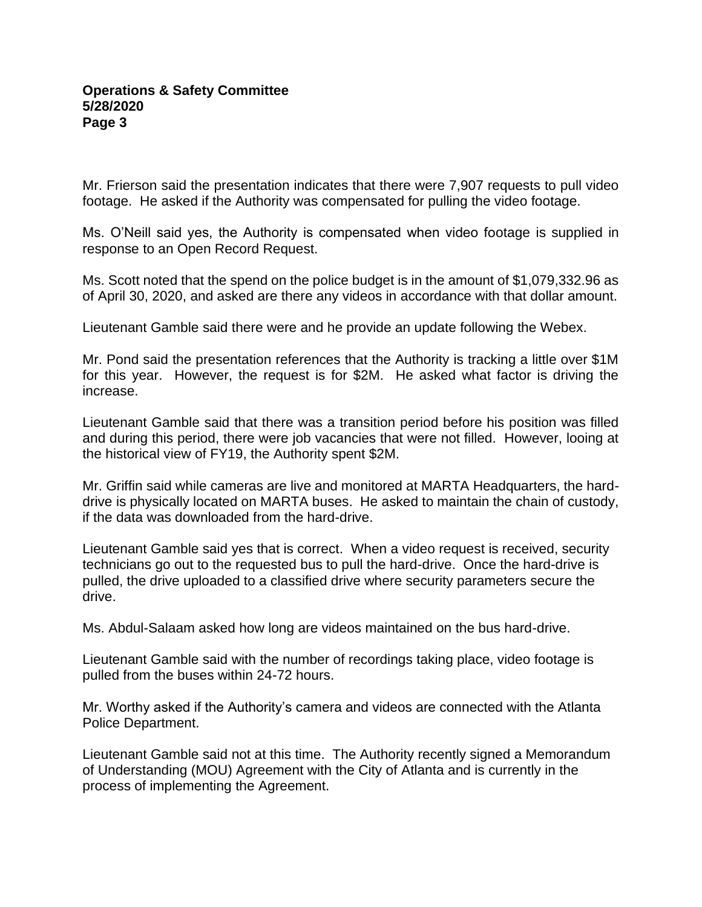#### **Operations & Safety Committee 5/28/2020 Page 3**

Mr. Frierson said the presentation indicates that there were 7,907 requests to pull video footage. He asked if the Authority was compensated for pulling the video footage.

Ms. O'Neill said yes, the Authority is compensated when video footage is supplied in response to an Open Record Request.

Ms. Scott noted that the spend on the police budget is in the amount of \$1,079,332.96 as of April 30, 2020, and asked are there any videos in accordance with that dollar amount.

Lieutenant Gamble said there were and he provide an update following the Webex.

Mr. Pond said the presentation references that the Authority is tracking a little over \$1M for this year. However, the request is for \$2M. He asked what factor is driving the increase.

Lieutenant Gamble said that there was a transition period before his position was filled and during this period, there were job vacancies that were not filled. However, looing at the historical view of FY19, the Authority spent \$2M.

Mr. Griffin said while cameras are live and monitored at MARTA Headquarters, the harddrive is physically located on MARTA buses. He asked to maintain the chain of custody, if the data was downloaded from the hard-drive.

Lieutenant Gamble said yes that is correct. When a video request is received, security technicians go out to the requested bus to pull the hard-drive. Once the hard-drive is pulled, the drive uploaded to a classified drive where security parameters secure the drive.

Ms. Abdul-Salaam asked how long are videos maintained on the bus hard-drive.

Lieutenant Gamble said with the number of recordings taking place, video footage is pulled from the buses within 24-72 hours.

Mr. Worthy asked if the Authority's camera and videos are connected with the Atlanta Police Department.

Lieutenant Gamble said not at this time. The Authority recently signed a Memorandum of Understanding (MOU) Agreement with the City of Atlanta and is currently in the process of implementing the Agreement.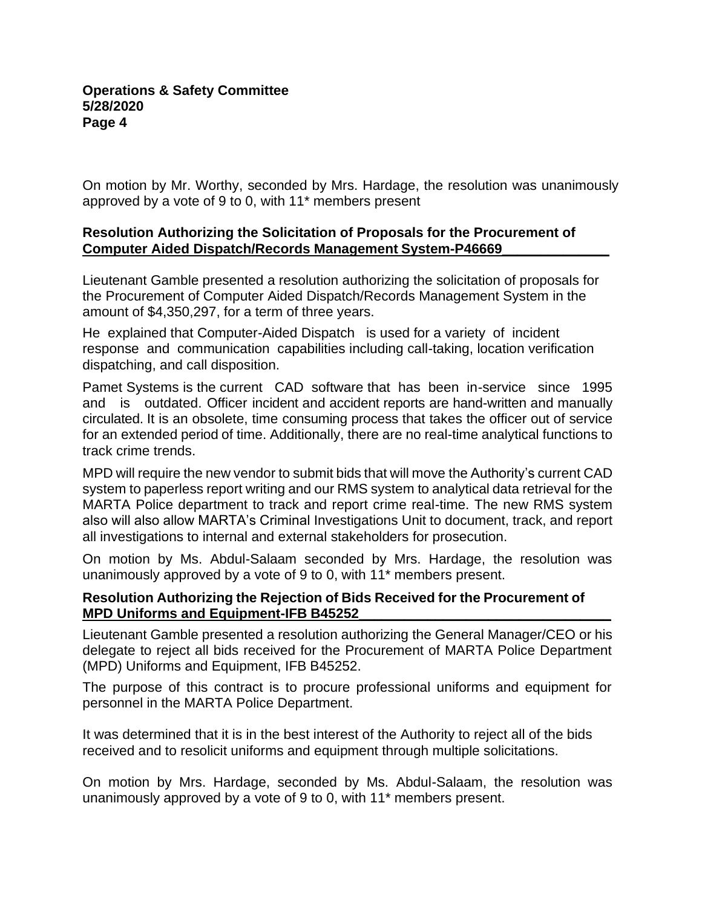On motion by Mr. Worthy, seconded by Mrs. Hardage, the resolution was unanimously approved by a vote of 9 to 0, with 11\* members present

# **Resolution Authorizing the Solicitation of Proposals for the Procurement of Computer Aided Dispatch/Records Management System-P46669\_\_\_\_\_\_\_\_\_\_\_\_\_\_**

Lieutenant Gamble presented a resolution authorizing the solicitation of proposals for the Procurement of Computer Aided Dispatch/Records Management System in the amount of \$4,350,297, for a term of three years.

He explained that Computer-Aided Dispatch is used for a variety of incident response and communication capabilities including call-taking, location verification dispatching, and call disposition.

Pamet Systems is the current CAD software that has been in-service since 1995 and is outdated. Officer incident and accident reports are hand-written and manually circulated. It is an obsolete, time consuming process that takes the officer out of service for an extended period of time. Additionally, there are no real-time analytical functions to track crime trends.

MPD will require the new vendor to submit bids that will move the Authority's current CAD system to paperless report writing and our RMS system to analytical data retrieval for the MARTA Police department to track and report crime real-time. The new RMS system also will also allow MARTA's Criminal Investigations Unit to document, track, and report all investigations to internal and external stakeholders for prosecution.

On motion by Ms. Abdul-Salaam seconded by Mrs. Hardage, the resolution was unanimously approved by a vote of 9 to 0, with 11\* members present.

## **Resolution Authorizing the Rejection of Bids Received for the Procurement of MPD Uniforms and Equipment-IFB B45252**

Lieutenant Gamble presented a resolution authorizing the General Manager/CEO or his delegate to reject all bids received for the Procurement of MARTA Police Department (MPD) Uniforms and Equipment, IFB B45252.

The purpose of this contract is to procure professional uniforms and equipment for personnel in the MARTA Police Department.

It was determined that it is in the best interest of the Authority to reject all of the bids received and to resolicit uniforms and equipment through multiple solicitations.

On motion by Mrs. Hardage, seconded by Ms. Abdul-Salaam, the resolution was unanimously approved by a vote of 9 to 0, with 11\* members present.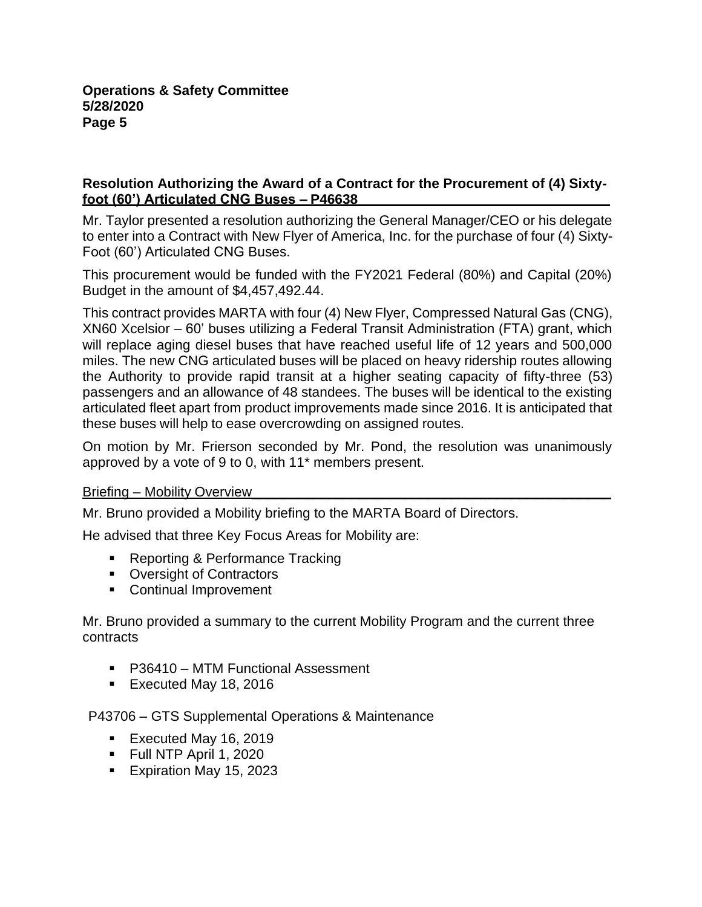## **Resolution Authorizing the Award of a Contract for the Procurement of (4) Sixtyfoot (60') Articulated CNG Buses – P46638\_\_\_\_\_\_\_\_\_\_\_\_\_\_\_\_\_\_\_\_\_\_\_\_\_\_\_\_\_\_\_\_\_**

Mr. Taylor presented a resolution authorizing the General Manager/CEO or his delegate to enter into a Contract with New Flyer of America, Inc. for the purchase of four (4) Sixty-Foot (60') Articulated CNG Buses.

This procurement would be funded with the FY2021 Federal (80%) and Capital (20%) Budget in the amount of \$4,457,492.44.

This contract provides MARTA with four (4) New Flyer, Compressed Natural Gas (CNG), XN60 Xcelsior – 60' buses utilizing a Federal Transit Administration (FTA) grant, which will replace aging diesel buses that have reached useful life of 12 years and 500,000 miles. The new CNG articulated buses will be placed on heavy ridership routes allowing the Authority to provide rapid transit at a higher seating capacity of fifty-three (53) passengers and an allowance of 48 standees. The buses will be identical to the existing articulated fleet apart from product improvements made since 2016. It is anticipated that these buses will help to ease overcrowding on assigned routes.

On motion by Mr. Frierson seconded by Mr. Pond, the resolution was unanimously approved by a vote of 9 to 0, with 11\* members present.

## Briefing – Mobility Overview

Mr. Bruno provided a Mobility briefing to the MARTA Board of Directors.

He advised that three Key Focus Areas for Mobility are:

- Reporting & Performance Tracking
- Oversight of Contractors
- Continual Improvement

Mr. Bruno provided a summary to the current Mobility Program and the current three contracts

- P36410 MTM Functional Assessment
- Executed May 18, 2016

P43706 – GTS Supplemental Operations & Maintenance

- Executed May 16, 2019
- Full NTP April 1, 2020
- Expiration May 15, 2023